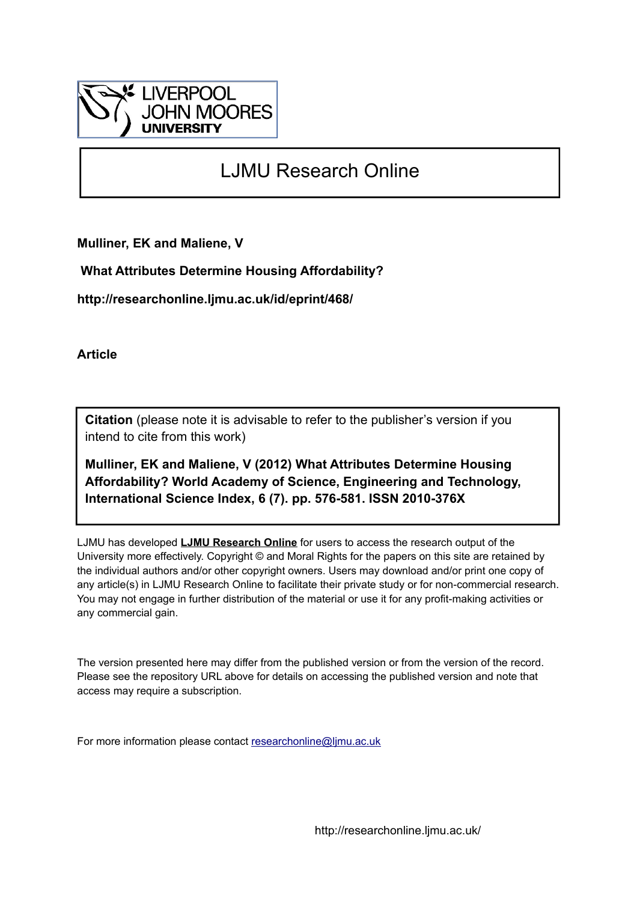

## LJMU Research Online

**Mulliner, EK and Maliene, V**

 **What Attributes Determine Housing Affordability?**

**http://researchonline.ljmu.ac.uk/id/eprint/468/**

**Article**

**Citation** (please note it is advisable to refer to the publisher's version if you intend to cite from this work)

**Mulliner, EK and Maliene, V (2012) What Attributes Determine Housing Affordability? World Academy of Science, Engineering and Technology, International Science Index, 6 (7). pp. 576-581. ISSN 2010-376X** 

LJMU has developed **[LJMU Research Online](http://researchonline.ljmu.ac.uk/)** for users to access the research output of the University more effectively. Copyright © and Moral Rights for the papers on this site are retained by the individual authors and/or other copyright owners. Users may download and/or print one copy of any article(s) in LJMU Research Online to facilitate their private study or for non-commercial research. You may not engage in further distribution of the material or use it for any profit-making activities or any commercial gain.

The version presented here may differ from the published version or from the version of the record. Please see the repository URL above for details on accessing the published version and note that access may require a subscription.

For more information please contact [researchonline@ljmu.ac.uk](mailto:researchonline@ljmu.ac.uk)

http://researchonline.ljmu.ac.uk/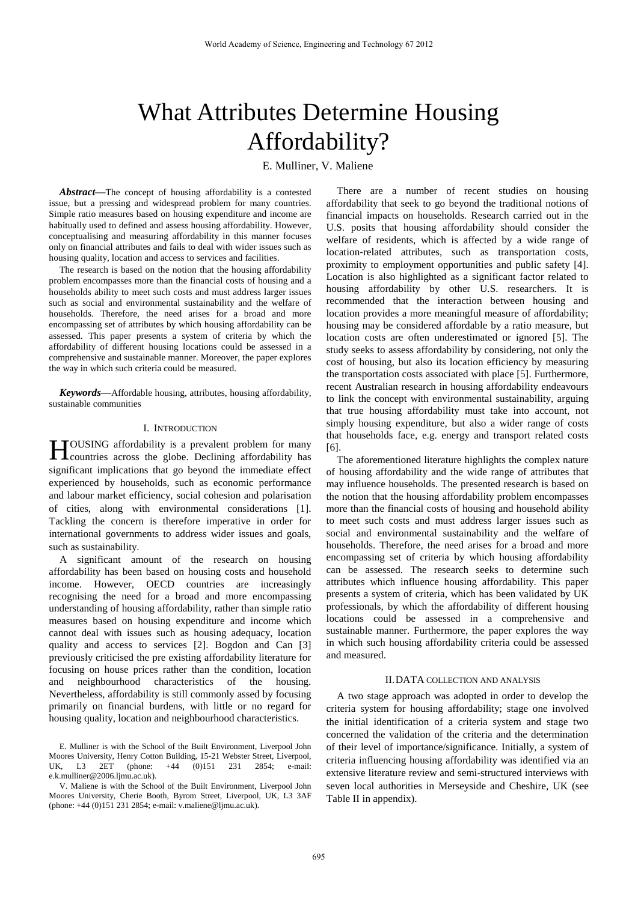# What Attributes Determine Housing Affordability?

E. Mulliner, V. Maliene

*Abstract***—**The concept of housing affordability is a contested issue, but a pressing and widespread problem for many countries. Simple ratio measures based on housing expenditure and income are habitually used to defined and assess housing affordability. However, conceptualising and measuring affordability in this manner focuses only on financial attributes and fails to deal with wider issues such as housing quality, location and access to services and facilities.

The research is based on the notion that the housing affordability problem encompasses more than the financial costs of housing and a households ability to meet such costs and must address larger issues such as social and environmental sustainability and the welfare of households. Therefore, the need arises for a broad and more encompassing set of attributes by which housing affordability can be assessed. This paper presents a system of criteria by which the affordability of different housing locations could be assessed in a comprehensive and sustainable manner. Moreover, the paper explores the way in which such criteria could be measured.

*Keywords***—**Affordable housing, attributes, housing affordability, sustainable communities

### I. INTRODUCTION

**TOUSING** affordability is a prevalent problem for many **HEREAD ENDING** affordability is a prevalent problem for many countries across the globe. Declining affordability has significant implications that go beyond the immediate effect experienced by households, such as economic performance and labour market efficiency, social cohesion and polarisation of cities, along with environmental considerations [1]. Tackling the concern is therefore imperative in order for international governments to address wider issues and goals, such as sustainability.

A significant amount of the research on housing affordability has been based on housing costs and household income. However, OECD countries are increasingly recognising the need for a broad and more encompassing understanding of housing affordability, rather than simple ratio measures based on housing expenditure and income which cannot deal with issues such as housing adequacy, location quality and access to services [2]. Bogdon and Can [3] previously criticised the pre existing affordability literature for focusing on house prices rather than the condition, location and neighbourhood characteristics of the housing. Nevertheless, affordability is still commonly assed by focusing primarily on financial burdens, with little or no regard for housing quality, location and neighbourhood characteristics.

There are a number of recent studies on housing affordability that seek to go beyond the traditional notions of financial impacts on households. Research carried out in the U.S. posits that housing affordability should consider the welfare of residents, which is affected by a wide range of location-related attributes, such as transportation costs, proximity to employment opportunities and public safety [4]. Location is also highlighted as a significant factor related to housing affordability by other U.S. researchers. It is recommended that the interaction between housing and location provides a more meaningful measure of affordability; housing may be considered affordable by a ratio measure, but location costs are often underestimated or ignored [5]. The study seeks to assess affordability by considering, not only the cost of housing, but also its location efficiency by measuring the transportation costs associated with place [5]. Furthermore, recent Australian research in housing affordability endeavours to link the concept with environmental sustainability, arguing that true housing affordability must take into account, not simply housing expenditure, but also a wider range of costs that households face, e.g. energy and transport related costs [6].

The aforementioned literature highlights the complex nature of housing affordability and the wide range of attributes that may influence households. The presented research is based on the notion that the housing affordability problem encompasses more than the financial costs of housing and household ability to meet such costs and must address larger issues such as social and environmental sustainability and the welfare of households. Therefore, the need arises for a broad and more encompassing set of criteria by which housing affordability can be assessed. The research seeks to determine such attributes which influence housing affordability. This paper presents a system of criteria, which has been validated by UK professionals, by which the affordability of different housing locations could be assessed in a comprehensive and sustainable manner. Furthermore, the paper explores the way in which such housing affordability criteria could be assessed and measured.

## II.DATA COLLECTION AND ANALYSIS

A two stage approach was adopted in order to develop the criteria system for housing affordability; stage one involved the initial identification of a criteria system and stage two concerned the validation of the criteria and the determination of their level of importance/significance. Initially, a system of criteria influencing housing affordability was identified via an extensive literature review and semi-structured interviews with seven local authorities in Merseyside and Cheshire, UK (see Table II in appendix).

E. Mulliner is with the School of the Built Environment, Liverpool John Moores University, Henry Cotton Building, 15-21 Webster Street, Liverpool, UK, L3 2ET (phone: +44 (0)151 231 2854; e-mail:  $L3$  2ET (phone: e.k.mulliner@2006.ljmu.ac.uk).

V. Maliene is with the School of the Built Environment, Liverpool John Moores University, Cherie Booth, Byrom Street, Liverpool, UK, L3 3AF (phone: +44 (0)151 231 2854; e-mail: v.maliene@ljmu.ac.uk).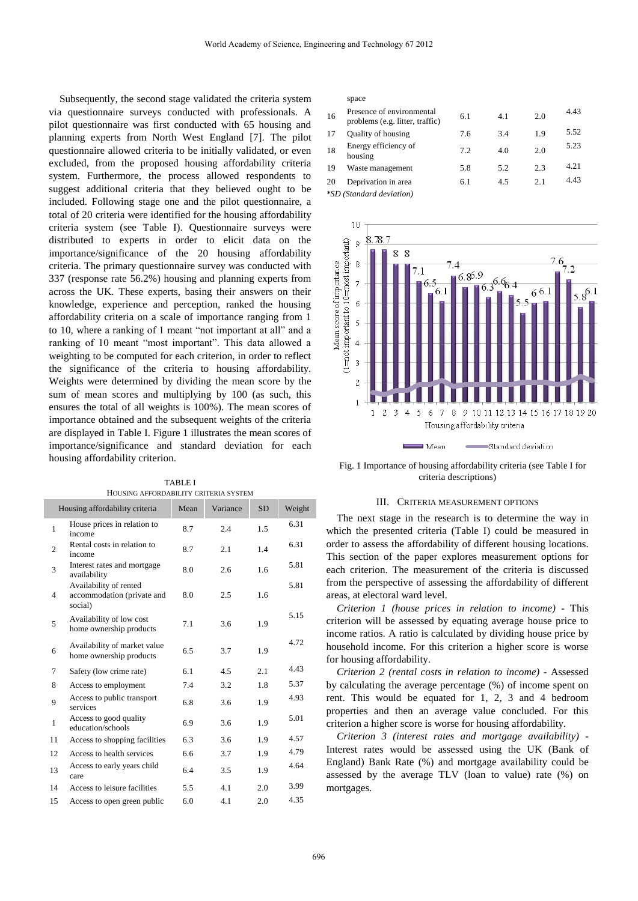Subsequently, the second stage validated the criteria system via questionnaire surveys conducted with professionals. A pilot questionnaire was first conducted with 65 housing and planning experts from North West England [7]. The pilot questionnaire allowed criteria to be initially validated, or even excluded, from the proposed housing affordability criteria system. Furthermore, the process allowed respondents to suggest additional criteria that they believed ought to be included. Following stage one and the pilot questionnaire, a total of 20 criteria were identified for the housing affordability criteria system (see Table I). Questionnaire surveys were distributed to experts in order to elicit data on the importance/significance of the 20 housing affordability criteria. The primary questionnaire survey was conducted with 337 (response rate 56.2%) housing and planning experts from across the UK. These experts, basing their answers on their knowledge, experience and perception, ranked the housing affordability criteria on a scale of importance ranging from 1 to 10, where a ranking of 1 meant "not important at all" and a ranking of 10 meant "most important". This data allowed a weighting to be computed for each criterion, in order to reflect the significance of the criteria to housing affordability. Weights were determined by dividing the mean score by the sum of mean scores and multiplying by 100 (as such, this ensures the total of all weights is 100%). The mean scores of importance obtained and the subsequent weights of the criteria are displayed in Table I. Figure 1 illustrates the mean scores of importance/significance and standard deviation for each housing affordability criterion.

TABLE I HOUSING AFFORDABILITY CRITERIA SYSTEM

|                | Housing affordability criteria                                  | Mean | Variance | <b>SD</b> | Weight |
|----------------|-----------------------------------------------------------------|------|----------|-----------|--------|
| 1              | House prices in relation to<br>income                           | 8.7  | 2.4      | 1.5       | 6.31   |
| $\overline{2}$ | Rental costs in relation to<br>income                           | 8.7  | 2.1      | 1.4       | 6.31   |
| 3              | Interest rates and mortgage<br>availability                     | 8.0  | 2.6      | 1.6       | 5.81   |
| $\overline{4}$ | Availability of rented<br>accommodation (private and<br>social) | 8.0  | 2.5      | 1.6       | 5.81   |
| 5              | Availability of low cost<br>home ownership products             | 7.1  | 3.6      | 1.9       | 5.15   |
| 6              | Availability of market value<br>home ownership products         | 6.5  | 3.7      | 1.9       | 4.72   |
| 7              | Safety (low crime rate)                                         | 6.1  | 4.5      | 2.1       | 4.43   |
| 8              | Access to employment                                            | 7.4  | 3.2      | 1.8       | 5.37   |
| 9              | Access to public transport<br>services                          | 6.8  | 3.6      | 1.9       | 4.93   |
| 1              | Access to good quality<br>education/schools                     | 6.9  | 3.6      | 1.9       | 5.01   |
| 11             | Access to shopping facilities                                   | 6.3  | 3.6      | 1.9       | 4.57   |
| 12             | Access to health services                                       | 6.6  | 3.7      | 1.9       | 4.79   |
| 13             | Access to early years child<br>care                             | 6.4  | 3.5      | 1.9       | 4.64   |
| 14             | Access to leisure facilities                                    | 5.5  | 4.1      | 2.0       | 3.99   |
| 15             | Access to open green public                                     | 6.0  | 4.1      | 2.0       | 4.35   |

#### space

| 16 | Presence of environmental<br>problems (e.g. litter, traffic) | 6.1 | 4.1 | 2.0 | 4.43 |
|----|--------------------------------------------------------------|-----|-----|-----|------|
| 17 | <b>Quality of housing</b>                                    | 7.6 | 3.4 | 1.9 | 5.52 |
| 18 | Energy efficiency of<br>housing                              | 7.2 | 4.0 | 2.0 | 5.23 |
| 19 | Waste management                                             | 5.8 | 5.2 | 2.3 | 4.21 |
| 20 | Deprivation in area                                          | 6.1 | 4.5 | 2.1 | 4.43 |
|    | *SD (Standard deviation)                                     |     |     |     |      |



Fig. 1 Importance of housing affordability criteria (see Table I for criteria descriptions)

#### III. CRITERIA MEASUREMENT OPTIONS

The next stage in the research is to determine the way in which the presented criteria (Table I) could be measured in order to assess the affordability of different housing locations. This section of the paper explores measurement options for each criterion. The measurement of the criteria is discussed from the perspective of assessing the affordability of different areas, at electoral ward level.

*Criterion 1 (house prices in relation to income)* - This criterion will be assessed by equating average house price to income ratios. A ratio is calculated by dividing house price by household income. For this criterion a higher score is worse for housing affordability.

*Criterion 2 (rental costs in relation to income)* - Assessed by calculating the average percentage (%) of income spent on rent. This would be equated for 1, 2, 3 and 4 bedroom properties and then an average value concluded. For this criterion a higher score is worse for housing affordability.

*Criterion 3 (interest rates and mortgage availability)* - Interest rates would be assessed using the UK (Bank of England) Bank Rate (%) and mortgage availability could be assessed by the average TLV (loan to value) rate (%) on mortgages.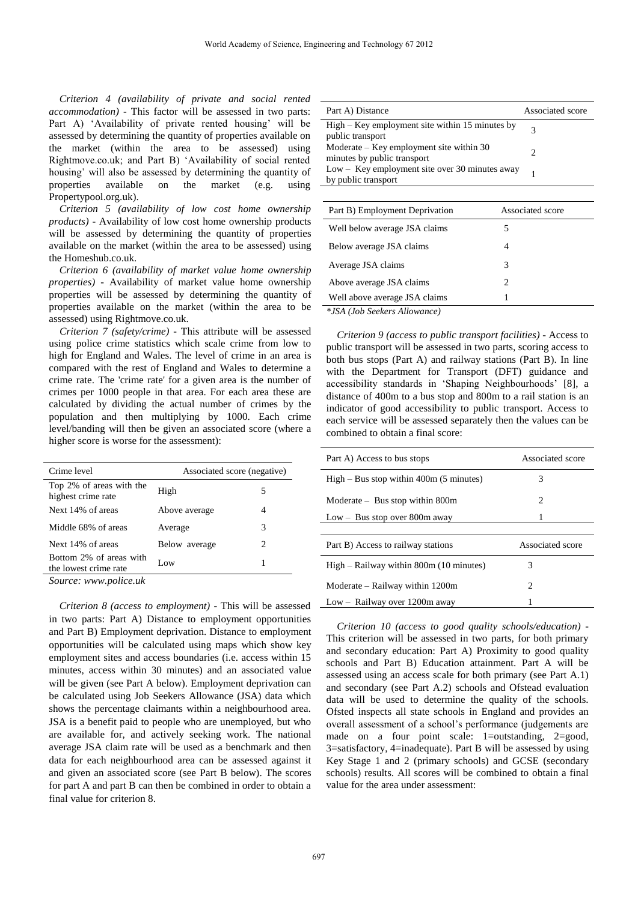*Criterion 4 (availability of private and social rented accommodation)* - This factor will be assessed in two parts: Part A) 'Availability of private rented housing' will be assessed by determining the quantity of properties available on the market (within the area to be assessed) using Rightmove.co.uk; and Part B) 'Availability of social rented housing' will also be assessed by determining the quantity of properties available on the market (e.g. using Propertypool.org.uk).

*Criterion 5 (availability of low cost home ownership products)* - Availability of low cost home ownership products will be assessed by determining the quantity of properties available on the market (within the area to be assessed) using the Homeshub.co.uk.

*Criterion 6 (availability of market value home ownership properties)* - Availability of market value home ownership properties will be assessed by determining the quantity of properties available on the market (within the area to be assessed) using Rightmove.co.uk.

*Criterion 7 (safety/crime) -* This attribute will be assessed using police crime statistics which scale crime from low to high for England and Wales. The level of crime in an area is compared with the rest of England and Wales to determine a crime rate. The 'crime rate' for a given area is the number of crimes per 1000 people in that area. For each area these are calculated by dividing the actual number of crimes by the population and then multiplying by 1000. Each crime level/banding will then be given an associated score (where a higher score is worse for the assessment):

| Crime level                                      | Associated score (negative) |   |
|--------------------------------------------------|-----------------------------|---|
| Top 2% of areas with the<br>highest crime rate   | High                        | 5 |
| Next 14% of areas                                | Above average               |   |
| Middle 68% of areas                              | Average                     | 3 |
| Next 14% of areas                                | Below average               | 2 |
| Bottom 2% of areas with<br>the lowest crime rate | Low.                        |   |

*Source: www.police.uk*

*Criterion 8 (access to employment) -* This will be assessed in two parts: Part A) Distance to employment opportunities and Part B) Employment deprivation. Distance to employment opportunities will be calculated using maps which show key employment sites and access boundaries (i.e. access within 15 minutes, access within 30 minutes) and an associated value will be given (see Part A below). Employment deprivation can be calculated using Job Seekers Allowance (JSA) data which shows the percentage claimants within a neighbourhood area. JSA is a benefit paid to people who are unemployed, but who are available for, and actively seeking work. The national average JSA claim rate will be used as a benchmark and then data for each neighbourhood area can be assessed against it and given an associated score (see Part B below). The scores for part A and part B can then be combined in order to obtain a final value for criterion 8.

| Part A) Distance                                                          | Associated score            |
|---------------------------------------------------------------------------|-----------------------------|
| $High - Key$ employment site within 15 minutes by<br>public transport     | 3                           |
| Moderate $-$ Key employment site within 30<br>minutes by public transport | $\mathcal{D}_{\mathcal{L}}$ |
| $Low - Key$ employment site over 30 minutes away<br>by public transport   | 1                           |
|                                                                           |                             |
| Part B) Employment Deprivation                                            | Associated score            |
| Well below average JSA claims                                             | 5                           |
| Below average JSA claims                                                  | 4                           |
| Average JSA claims                                                        | 3                           |
| Above average JSA claims                                                  | 2                           |
| Well above average JSA claims                                             |                             |

*\*JSA (Job Seekers Allowance)*

*Criterion 9 (access to public transport facilities)* - Access to public transport will be assessed in two parts, scoring access to both bus stops (Part A) and railway stations (Part B). In line with the Department for Transport (DFT) guidance and accessibility standards in 'Shaping Neighbourhoods' [8], a distance of 400m to a bus stop and 800m to a rail station is an indicator of good accessibility to public transport. Access to each service will be assessed separately then the values can be combined to obtain a final score:

| Part A) Access to bus stops                 | Associated score            |
|---------------------------------------------|-----------------------------|
| $High-Bus stop within 400m (5 minutes)$     | 3                           |
| $Modernate - Bus stop within 800m$          | 2                           |
| $Low - Bus stop over 800m away$             | 1                           |
|                                             |                             |
| Part B) Access to railway stations          | Associated score            |
| $High - Railway$ within 800 $m(10$ minutes) | 3                           |
| Moderate – Railway within 1200m             | $\mathcal{D}_{\mathcal{L}}$ |
| Low – Railway over 1200m away               |                             |

*Criterion 10 (access to good quality schools/education)* - This criterion will be assessed in two parts, for both primary and secondary education: Part A) Proximity to good quality schools and Part B) Education attainment. Part A will be assessed using an access scale for both primary (see Part A.1) and secondary (see Part A.2) schools and Ofstead evaluation data will be used to determine the quality of the schools. Ofsted inspects all state schools in England and provides an overall assessment of a school's performance (judgements are made on a four point scale: 1=outstanding, 2=good, 3=satisfactory, 4=inadequate). Part B will be assessed by using Key Stage 1 and 2 (primary schools) and GCSE (secondary schools) results. All scores will be combined to obtain a final value for the area under assessment: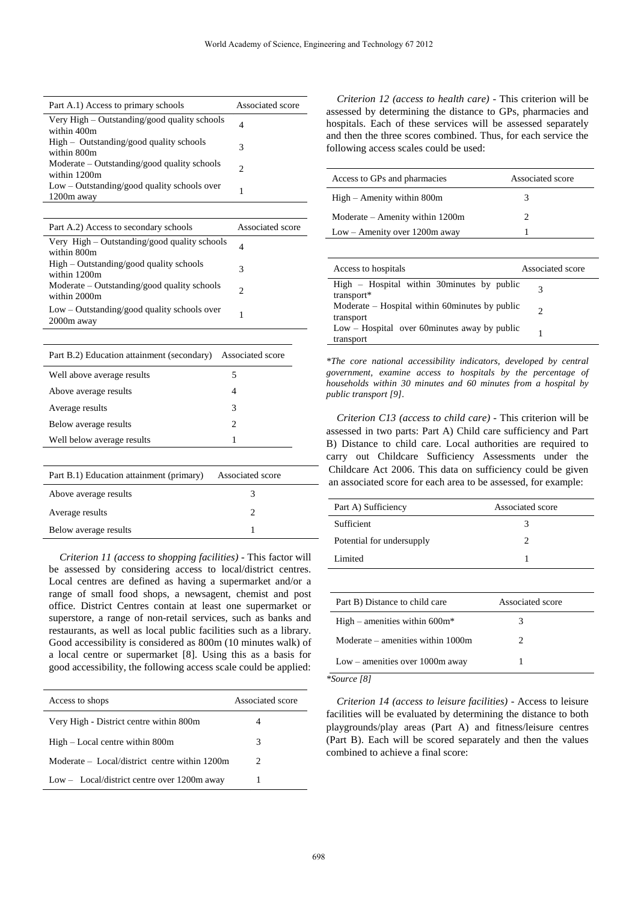| Part A.1) Access to primary schools                            | Associated score |
|----------------------------------------------------------------|------------------|
| Very High – Outstanding/good quality schools<br>within 400m    | 4                |
| $High$ – Outstanding/good quality schools<br>within 800m       | 3                |
| $Modernate - Outstanding/good quality schools$<br>within 1200m | 2                |
| $Low - Outstanding/good quality schools over$<br>1200m away    |                  |

| Part A.2) Access to secondary schools                          | Associated score |
|----------------------------------------------------------------|------------------|
| Very High - Outstanding/good quality schools<br>within 800m    | 4                |
| $High-Outstanding/good quality schools$<br>within 1200m        | 3                |
| $Modernate - Outstanding/good quality schools$<br>within 2000m | 2                |
| $Low - Outstanding/good quality schools over$<br>2000m away    |                  |

| Part B.2) Education attainment (secondary) | Associated score |
|--------------------------------------------|------------------|
| Well above average results                 | 5                |
| Above average results                      | 4                |
| Average results                            | 3                |
| Below average results                      | 2                |
| Well below average results                 |                  |
|                                            |                  |

| Part B.1) Education attainment (primary) | Associated score |  |
|------------------------------------------|------------------|--|
| Above average results                    |                  |  |
| Average results                          |                  |  |
| Below average results                    |                  |  |
|                                          |                  |  |

*Criterion 11 (access to shopping facilities)* - This factor will be assessed by considering access to local/district centres. Local centres are defined as having a supermarket and/or a range of small food shops, a newsagent, chemist and post office. District Centres contain at least one supermarket or superstore, a range of non-retail services, such as banks and restaurants, as well as local public facilities such as a library. Good accessibility is considered as 800m (10 minutes walk) of a local centre or supermarket [8]. Using this as a basis for good accessibility, the following access scale could be applied:

| Access to shops                               | Associated score |
|-----------------------------------------------|------------------|
| Very High - District centre within 800m       | 4                |
| $High - Local$ centre within 800m             | 3                |
| Moderate – Local/district centre within 1200m | 2                |
| $Low - Local/district centre over 1200m away$ |                  |

*Criterion 12 (access to health care)* - This criterion will be assessed by determining the distance to GPs, pharmacies and hospitals. Each of these services will be assessed separately and then the three scores combined. Thus, for each service the following access scales could be used:

| Access to GPs and pharmacies                              | Associated score |
|-----------------------------------------------------------|------------------|
| $High - Amenity within 800m$                              | 3                |
| $Modernate - Amenity within 1200m$                        | 2                |
| $Low -$ Amenity over 1200m away                           |                  |
|                                                           |                  |
| Access to hospitals                                       | Associated score |
| High – Hospital within 30 minutes by public<br>transport* | 3                |

| transport*                                        |  |
|---------------------------------------------------|--|
| $Moderate - Hospital within 60 minutes by public$ |  |
| transport                                         |  |
| $Low - Hospital$ over 60 minutes away by public   |  |
| transport                                         |  |

*\*The core national accessibility indicators, developed by central government, examine access to hospitals by the percentage of households within 30 minutes and 60 minutes from a hospital by public transport [9].*

*Criterion C13 (access to child care)* - This criterion will be assessed in two parts: Part A) Child care sufficiency and Part B) Distance to child care. Local authorities are required to carry out Childcare Sufficiency Assessments under the Childcare Act 2006. This data on sufficiency could be given an associated score for each area to be assessed, for example:

| Part A) Sufficiency             | Associated score |  |
|---------------------------------|------------------|--|
| Sufficient                      | 3                |  |
| Potential for undersupply       | 2                |  |
| Limited                         | 1                |  |
|                                 |                  |  |
| Part B) Distance to child care  | Associated score |  |
| High – amenities within $600m*$ | 3                |  |
|                                 |                  |  |

| Moderate – amenities within 1000m |  |
|-----------------------------------|--|
| $Low$ – amenities over 1000m away |  |
| *Source [8]                       |  |

*Criterion 14 (access to leisure facilities)* - Access to leisure facilities will be evaluated by determining the distance to both playgrounds/play areas (Part A) and fitness/leisure centres (Part B). Each will be scored separately and then the values combined to achieve a final score: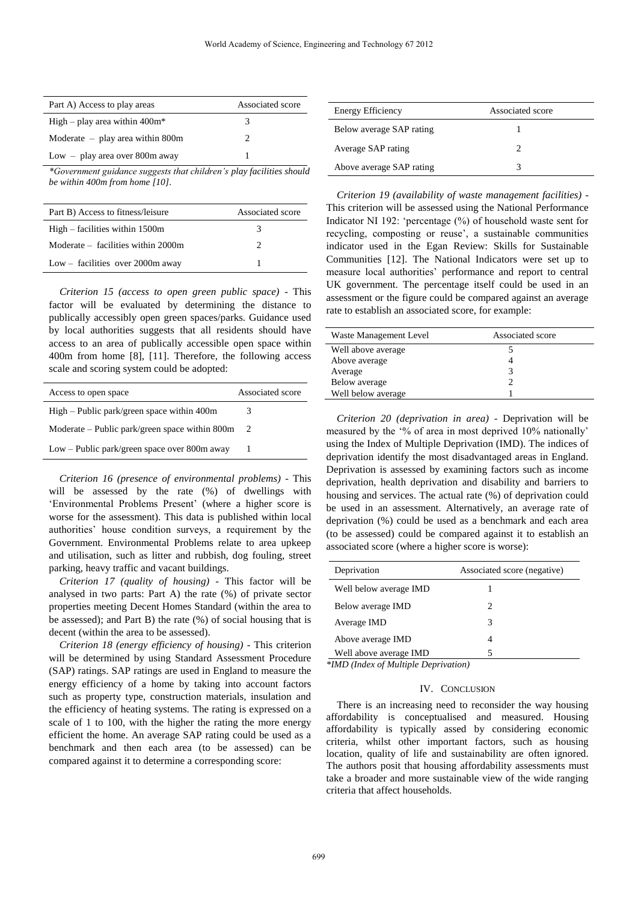| Part A) Access to play areas       | Associated score |
|------------------------------------|------------------|
| High – play area within $400m^*$   | 3                |
| Moderate $-$ play area within 800m | 2                |
| $Low - play area over 800m away$   |                  |

*\*Government guidance suggests that children's play facilities should be within 400m from home [10].*

| Part B) Access to fitness/leisure    | Associated score |
|--------------------------------------|------------------|
| $High - facilities$ within 1500m     | 3                |
| $Moderate - facilities within 2000m$ |                  |
| Low – facilities over $2000$ m away  |                  |

*Criterion 15 (access to open green public space)* - This factor will be evaluated by determining the distance to publically accessibly open green spaces/parks. Guidance used by local authorities suggests that all residents should have access to an area of publically accessible open space within 400m from home [8], [11]. Therefore, the following access scale and scoring system could be adopted:

| Access to open space                             | Associated score |
|--------------------------------------------------|------------------|
| $High - Public park/green space within 400m$     |                  |
| Moderate – Public park/green space within $800m$ | 2                |
| $Low - Public park/green space over 800m away$   |                  |

*Criterion 16 (presence of environmental problems)* - This will be assessed by the rate (%) of dwellings with 'Environmental Problems Present' (where a higher score is worse for the assessment). This data is published within local authorities' house condition surveys, a requirement by the Government. Environmental Problems relate to area upkeep and utilisation, such as litter and rubbish, dog fouling, street parking, heavy traffic and vacant buildings.

*Criterion 17 (quality of housing)* - This factor will be analysed in two parts: Part A) the rate (%) of private sector properties meeting Decent Homes Standard (within the area to be assessed); and Part B) the rate (%) of social housing that is decent (within the area to be assessed).

*Criterion 18 (energy efficiency of housing)* - This criterion will be determined by using Standard Assessment Procedure (SAP) ratings. SAP ratings are used in England to measure the energy efficiency of a home by taking into account factors such as property type, construction materials, insulation and the efficiency of heating systems. The rating is expressed on a scale of 1 to 100, with the higher the rating the more energy efficient the home. An average SAP rating could be used as a benchmark and then each area (to be assessed) can be compared against it to determine a corresponding score:

| Energy Efficiency        | Associated score |
|--------------------------|------------------|
| Below average SAP rating |                  |
| Average SAP rating       |                  |
| Above average SAP rating |                  |

*Criterion 19 (availability of waste management facilities)* - This criterion will be assessed using the National Performance Indicator NI 192: 'percentage (%) of household waste sent for recycling, composting or reuse', a sustainable communities indicator used in the Egan Review: Skills for Sustainable Communities [12]. The National Indicators were set up to measure local authorities' performance and report to central UK government. The percentage itself could be used in an assessment or the figure could be compared against an average rate to establish an associated score, for example:

| Waste Management Level | Associated score |
|------------------------|------------------|
| Well above average     |                  |
| Above average          |                  |
| Average                |                  |
| Below average          |                  |
| Well below average     |                  |

*Criterion 20 (deprivation in area)* - Deprivation will be measured by the '% of area in most deprived 10% nationally' using the Index of Multiple Deprivation (IMD). The indices of deprivation identify the most disadvantaged areas in England. Deprivation is assessed by examining factors such as income deprivation, health deprivation and disability and barriers to housing and services. The actual rate (%) of deprivation could be used in an assessment. Alternatively, an average rate of deprivation (%) could be used as a benchmark and each area (to be assessed) could be compared against it to establish an associated score (where a higher score is worse):

| Deprivation                               | Associated score (negative) |
|-------------------------------------------|-----------------------------|
| Well below average IMD                    |                             |
| Below average IMD                         | 2                           |
| Average IMD                               | 3                           |
| Above average IMD                         | 4                           |
| Well above average IMD<br>$\cdots$<br>. . | 5                           |

*\*IMD (Index of Multiple Deprivation)*

#### IV. CONCLUSION

There is an increasing need to reconsider the way housing affordability is conceptualised and measured. Housing affordability is typically assed by considering economic criteria, whilst other important factors, such as housing location, quality of life and sustainability are often ignored. The authors posit that housing affordability assessments must take a broader and more sustainable view of the wide ranging criteria that affect households.